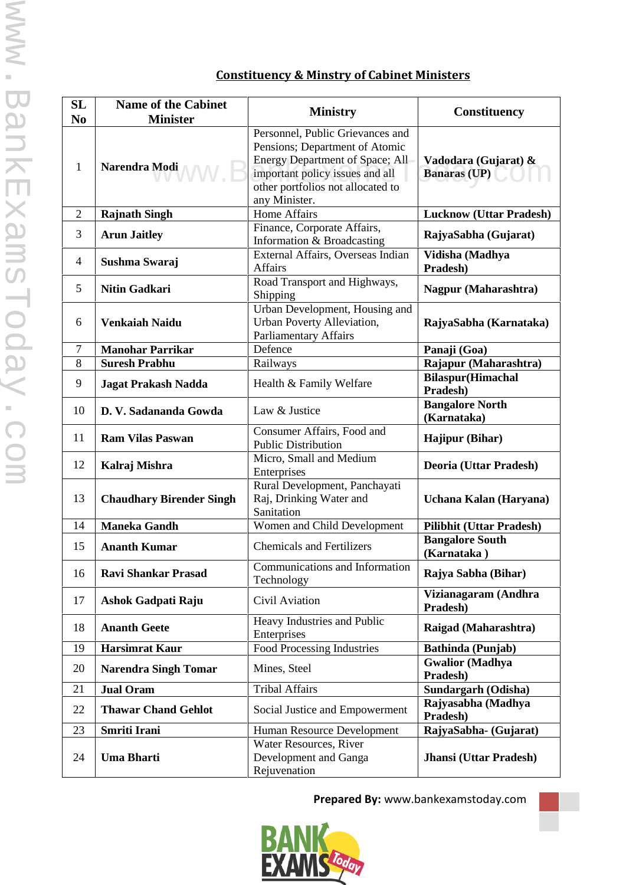## **Constituency & Minstry of Cabinet Ministers**

| SL<br>N <sub>0</sub> | <b>Name of the Cabinet</b><br><b>Minister</b> | <b>Ministry</b>                                                                                                                                                                                | Constituency                                |
|----------------------|-----------------------------------------------|------------------------------------------------------------------------------------------------------------------------------------------------------------------------------------------------|---------------------------------------------|
| $\mathbf{1}$         | Narendra Modi                                 | Personnel, Public Grievances and<br>Pensions; Department of Atomic<br>Energy Department of Space; All<br>important policy issues and all<br>other portfolios not allocated to<br>any Minister. | Vadodara (Gujarat) &<br><b>Banaras (UP)</b> |
| $\mathbf{2}$         | <b>Rajnath Singh</b>                          | <b>Home Affairs</b>                                                                                                                                                                            | <b>Lucknow (Uttar Pradesh)</b>              |
| 3                    | <b>Arun Jaitley</b>                           | Finance, Corporate Affairs,<br>Information & Broadcasting                                                                                                                                      | RajyaSabha (Gujarat)                        |
| $\overline{4}$       | Sushma Swaraj                                 | External Affairs, Overseas Indian<br><b>Affairs</b>                                                                                                                                            | Vidisha (Madhya<br>Pradesh)                 |
| 5                    | <b>Nitin Gadkari</b>                          | Road Transport and Highways,<br>Shipping                                                                                                                                                       | <b>Nagpur (Maharashtra)</b>                 |
| 6                    | <b>Venkaiah Naidu</b>                         | Urban Development, Housing and<br>Urban Poverty Alleviation,<br><b>Parliamentary Affairs</b>                                                                                                   | RajyaSabha (Karnataka)                      |
| $\tau$               | <b>Manohar Parrikar</b>                       | Defence                                                                                                                                                                                        | Panaji (Goa)                                |
| 8                    | <b>Suresh Prabhu</b>                          | Railways                                                                                                                                                                                       | Rajapur (Maharashtra)                       |
| 9                    | <b>Jagat Prakash Nadda</b>                    | Health & Family Welfare                                                                                                                                                                        | <b>Bilaspur</b> (Himachal<br>Pradesh)       |
| 10                   | D. V. Sadananda Gowda                         | Law & Justice                                                                                                                                                                                  | <b>Bangalore North</b><br>(Karnataka)       |
| 11                   | <b>Ram Vilas Paswan</b>                       | Consumer Affairs, Food and<br><b>Public Distribution</b>                                                                                                                                       | <b>Hajipur (Bihar)</b>                      |
| 12                   | Kalraj Mishra                                 | Micro, Small and Medium<br>Enterprises                                                                                                                                                         | Deoria (Uttar Pradesh)                      |
| 13                   | <b>Chaudhary Birender Singh</b>               | Rural Development, Panchayati<br>Raj, Drinking Water and<br>Sanitation                                                                                                                         | Uchana Kalan (Haryana)                      |
| 14                   | <b>Maneka Gandh</b>                           | Women and Child Development                                                                                                                                                                    | <b>Pilibhit (Uttar Pradesh)</b>             |
| 15                   | <b>Ananth Kumar</b>                           | <b>Chemicals and Fertilizers</b>                                                                                                                                                               | <b>Bangalore South</b><br>(Karnataka)       |
| 16                   | <b>Ravi Shankar Prasad</b>                    | Communications and Information<br>Technology                                                                                                                                                   | Rajya Sabha (Bihar)                         |
| 17                   | Ashok Gadpati Raju                            | Civil Aviation                                                                                                                                                                                 | Vizianagaram (Andhra<br>Pradesh)            |
| 18                   | <b>Ananth Geete</b>                           | Heavy Industries and Public<br>Enterprises                                                                                                                                                     | Raigad (Maharashtra)                        |
| 19                   | <b>Harsimrat Kaur</b>                         | <b>Food Processing Industries</b>                                                                                                                                                              | Bathinda (Punjab)                           |
| 20                   | <b>Narendra Singh Tomar</b>                   | Mines, Steel                                                                                                                                                                                   | <b>Gwalior</b> (Madhya<br>Pradesh)          |
| 21                   | <b>Jual Oram</b>                              | <b>Tribal Affairs</b>                                                                                                                                                                          | Sundargarh (Odisha)                         |
| 22                   | <b>Thawar Chand Gehlot</b>                    | Social Justice and Empowerment                                                                                                                                                                 | Rajyasabha (Madhya<br>Pradesh)              |
| 23                   | Smriti Irani                                  | Human Resource Development                                                                                                                                                                     | RajyaSabha- (Gujarat)                       |
| 24                   | <b>Uma Bharti</b>                             | Water Resources, River<br>Development and Ganga<br>Rejuvenation                                                                                                                                | Jhansi (Uttar Pradesh)                      |

**Prepared By:** www.bankexamstoday.com